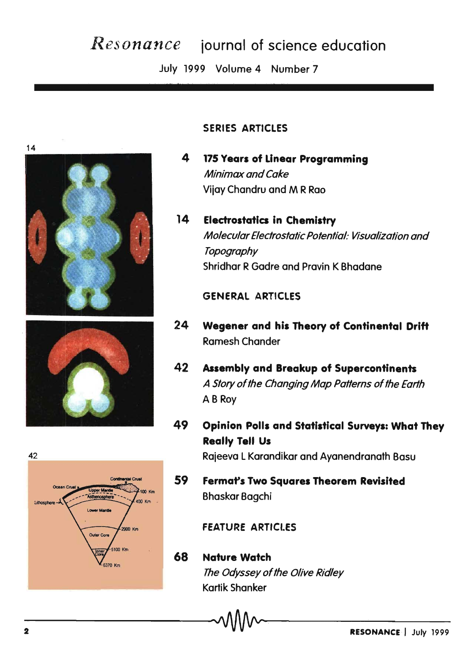# *Resonance* journal of science education

July 1999 Volume 4 Number 7









## SERIES ARTICLES

- 4 175 Years of Unear Programming Minimax and Cake Vijay Chandru and M R Rao
- 14 Electrostatics in Chemistry Molecular Electrostatic Potential: Visualization and **Topography** Shridhar R Gadre and Pravin K Bhadane

## **GENERAL ARTICLES**

- 24 Wegener and his Theory of Continental Drift Ramesh Chander
- 42 Assembly and Breakup of Supercontinents A Story of the Changing Map Patterns of the Earth AB Roy
- 49 Opinion Polls and Statistical Surveys: What They Really Tell Us

42 Rajeeva l Karandikar and Ayanendranath Basu

 $\frac{u}{k}$  59 Fermat's Two Squares Theorem Revisited 100 Km Bhaskar Bagchi

FEATURE ARTICLES

# 68 Nature Watch The Odyssey of the Olive Ridley Kartik Shanker